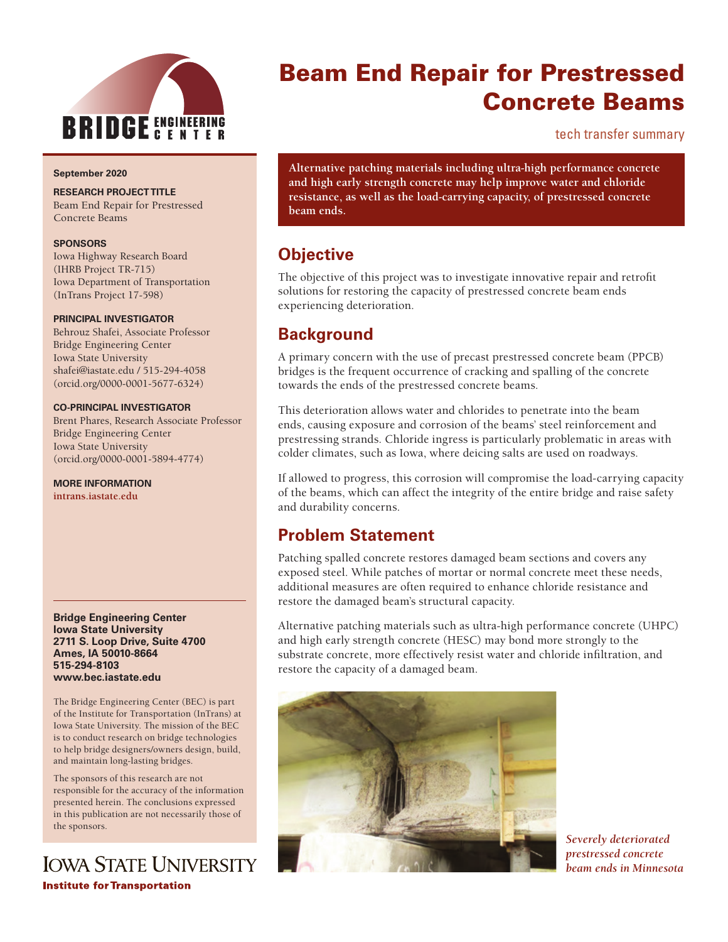

#### **September 2020**

#### **RESEARCH PROJECT TITLE**

Beam End Repair for Prestressed Concrete Beams

#### **SPONSORS**

Iowa Highway Research Board (IHRB Project TR-715) Iowa Department of Transportation (InTrans Project 17-598)

#### **PRINCIPAL INVESTIGATOR**

Behrouz Shafei, Associate Professor Bridge Engineering Center Iowa State University shafei@iastate.edu / 515-294-4058 (orcid.org/0000-0001-5677-6324)

#### **CO-PRINCIPAL INVESTIGATOR**

Brent Phares, Research Associate Professor Bridge Engineering Center Iowa State University (orcid.org/0000-0001-5894-4774)

**MORE INFORMATION**

**[intrans.iastate.edu](http://www.intrans.iastate.edu/)**

#### **Bridge Engineering Center Iowa State University 2711 S. Loop Drive, Suite 4700 Ames, IA 50010-8664 515-294-8103 www.bec.iastate.edu**

The Bridge Engineering Center (BEC) is part of the Institute for Transportation (InTrans) at Iowa State University. The mission of the BEC is to conduct research on bridge technologies to help bridge designers/owners design, build, and maintain long-lasting bridges.

The sponsors of this research are not responsible for the accuracy of the information presented herein. The conclusions expressed in this publication are not necessarily those of the sponsors.

## **IOWA STATE UNIVERSITY Institute for Transportation**

# Beam End Repair for Prestressed Concrete Beams

tech transfer summary

**Alternative patching materials including ultra-high performance concrete and high early strength concrete may help improve water and chloride resistance, as well as the load-carrying capacity, of prestressed concrete beam ends.**

### **Objective**

The objective of this project was to investigate innovative repair and retrofit solutions for restoring the capacity of prestressed concrete beam ends experiencing deterioration.

### **Background**

A primary concern with the use of precast prestressed concrete beam (PPCB) bridges is the frequent occurrence of cracking and spalling of the concrete towards the ends of the prestressed concrete beams.

This deterioration allows water and chlorides to penetrate into the beam ends, causing exposure and corrosion of the beams' steel reinforcement and prestressing strands. Chloride ingress is particularly problematic in areas with colder climates, such as Iowa, where deicing salts are used on roadways.

If allowed to progress, this corrosion will compromise the load-carrying capacity of the beams, which can affect the integrity of the entire bridge and raise safety and durability concerns.

### **Problem Statement**

Patching spalled concrete restores damaged beam sections and covers any exposed steel. While patches of mortar or normal concrete meet these needs, additional measures are often required to enhance chloride resistance and restore the damaged beam's structural capacity.

Alternative patching materials such as ultra-high performance concrete (UHPC) and high early strength concrete (HESC) may bond more strongly to the substrate concrete, more effectively resist water and chloride infiltration, and restore the capacity of a damaged beam.



*Severely deteriorated prestressed concrete beam ends in Minnesota*